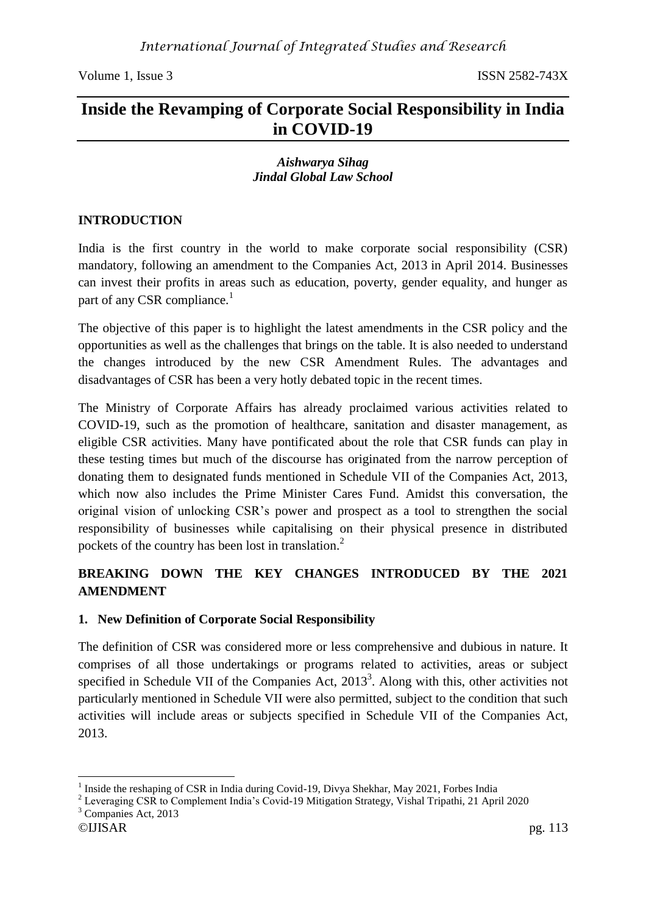# **Inside the Revamping of Corporate Social Responsibility in India in COVID-19**

#### *Aishwarya Sihag Jindal Global Law School*

### **INTRODUCTION**

India is the first country in the world to make corporate social responsibility (CSR) mandatory, following an amendment to the Companies Act, 2013 in April 2014. Businesses can invest their profits in areas such as education, poverty, gender equality, and hunger as part of any CSR compliance.<sup>1</sup>

The objective of this paper is to highlight the latest amendments in the CSR policy and the opportunities as well as the challenges that brings on the table. It is also needed to understand the changes introduced by the new CSR Amendment Rules. The advantages and disadvantages of CSR has been a very hotly debated topic in the recent times.

The Ministry of Corporate Affairs has already proclaimed various activities related to COVID-19, such as the promotion of healthcare, sanitation and disaster management, as eligible CSR activities. Many have pontificated about the role that CSR funds can play in these testing times but much of the discourse has originated from the narrow perception of donating them to designated funds mentioned in Schedule VII of the Companies Act, 2013, which now also includes the Prime Minister Cares Fund. Amidst this conversation, the original vision of unlocking CSR's power and prospect as a tool to strengthen the social responsibility of businesses while capitalising on their physical presence in distributed pockets of the country has been lost in translation.<sup>2</sup>

## **BREAKING DOWN THE KEY CHANGES INTRODUCED BY THE 2021 AMENDMENT**

#### **1. New Definition of Corporate Social Responsibility**

The definition of CSR was considered more or less comprehensive and dubious in nature. It comprises of all those undertakings or programs related to activities, areas or subject specified in Schedule VII of the Companies Act,  $2013<sup>3</sup>$ . Along with this, other activities not particularly mentioned in Schedule VII were also permitted, subject to the condition that such activities will include areas or subjects specified in Schedule VII of the Companies Act, 2013.

<sup>3</sup> Companies Act, 2013

 $\overline{a}$ 1 Inside the reshaping of CSR in India during Covid-19, Divya Shekhar, May 2021, Forbes India

<sup>&</sup>lt;sup>2</sup> Leveraging CSR to Complement India's Covid-19 Mitigation Strategy, Vishal Tripathi, 21 April 2020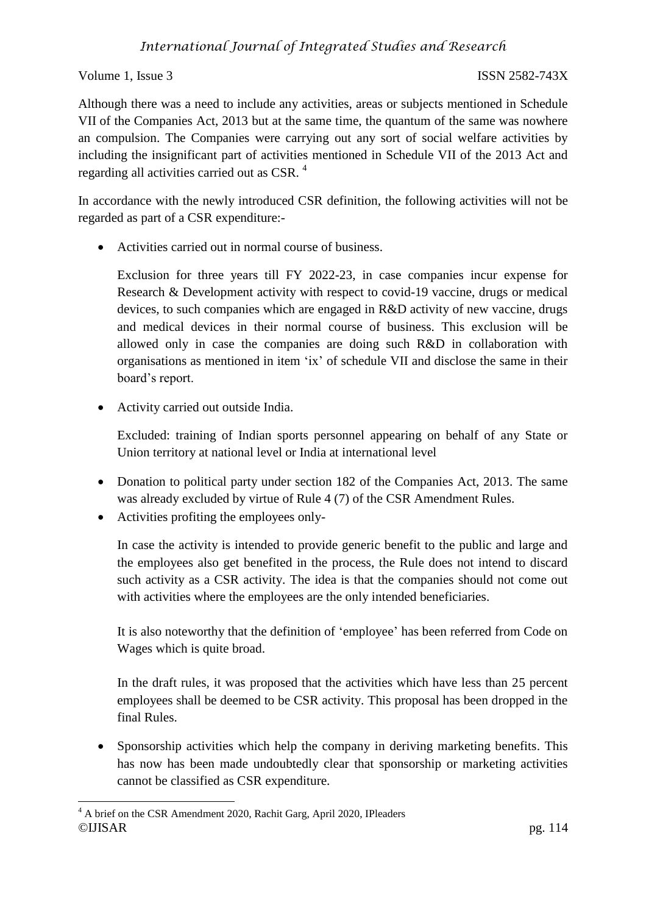Although there was a need to include any activities, areas or subjects mentioned in Schedule VII of the Companies Act, 2013 but at the same time, the quantum of the same was nowhere an compulsion. The Companies were carrying out any sort of social welfare activities by including the insignificant part of activities mentioned in Schedule VII of the 2013 Act and regarding all activities carried out as CSR. <sup>4</sup>

In accordance with the newly introduced CSR definition, the following activities will not be regarded as part of a CSR expenditure:-

Activities carried out in normal course of business.

Exclusion for three years till FY 2022-23, in case companies incur expense for Research & Development activity with respect to covid-19 vaccine, drugs or medical devices, to such companies which are engaged in R&D activity of new vaccine, drugs and medical devices in their normal course of business. This exclusion will be allowed only in case the companies are doing such R&D in collaboration with organisations as mentioned in item 'ix' of schedule VII and disclose the same in their board's report.

Activity carried out outside India.

Excluded: training of Indian sports personnel appearing on behalf of any State or Union territory at national level or India at international level

- Donation to political party under section 182 of the Companies Act, 2013. The same was already excluded by virtue of Rule 4 (7) of the CSR Amendment Rules.
- Activities profiting the employees only-

In case the activity is intended to provide generic benefit to the public and large and the employees also get benefited in the process, the Rule does not intend to discard such activity as a CSR activity. The idea is that the companies should not come out with activities where the employees are the only intended beneficiaries.

It is also noteworthy that the definition of 'employee' has been referred from Code on Wages which is quite broad.

In the draft rules, it was proposed that the activities which have less than 25 percent employees shall be deemed to be CSR activity. This proposal has been dropped in the final Rules.

• Sponsorship activities which help the company in deriving marketing benefits. This has now has been made undoubtedly clear that sponsorship or marketing activities cannot be classified as CSR expenditure.

<sup>©</sup>IJISAR pg. 114  $\overline{a}$ <sup>4</sup> A brief on the CSR Amendment 2020, Rachit Garg, April 2020, IPleaders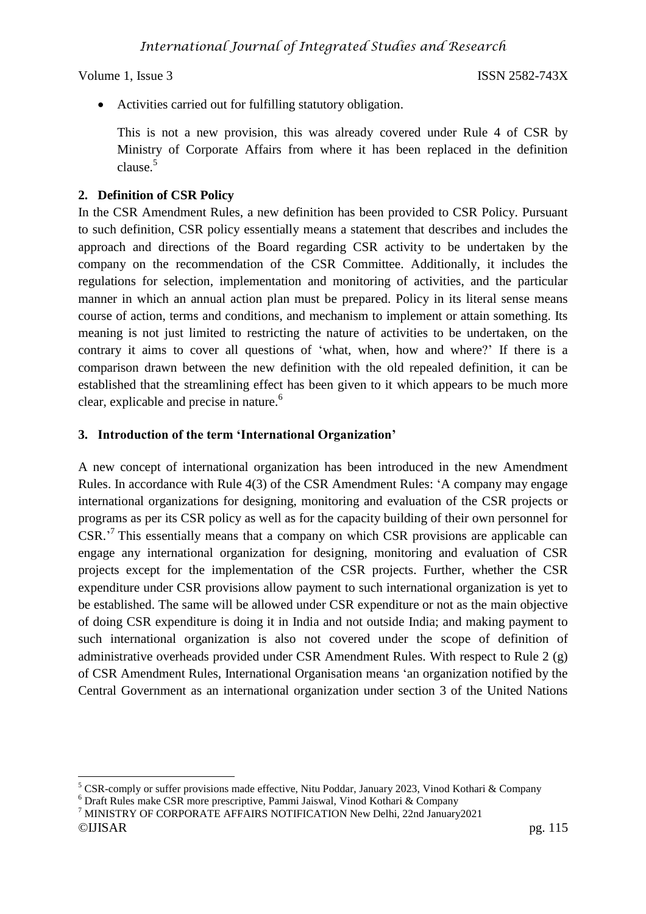Activities carried out for fulfilling statutory obligation.

This is not a new provision, this was already covered under Rule 4 of CSR by Ministry of Corporate Affairs from where it has been replaced in the definition clause.<sup>5</sup>

## **2. Definition of CSR Policy**

In the CSR Amendment Rules, a new definition has been provided to CSR Policy. Pursuant to such definition, CSR policy essentially means a statement that describes and includes the approach and directions of the Board regarding CSR activity to be undertaken by the company on the recommendation of the CSR Committee. Additionally, it includes the regulations for selection, implementation and monitoring of activities, and the particular manner in which an annual action plan must be prepared. Policy in its literal sense means course of action, terms and conditions, and mechanism to implement or attain something. Its meaning is not just limited to restricting the nature of activities to be undertaken, on the contrary it aims to cover all questions of 'what, when, how and where?' If there is a comparison drawn between the new definition with the old repealed definition, it can be established that the streamlining effect has been given to it which appears to be much more clear, explicable and precise in nature.<sup>6</sup>

## **3. Introduction of the term 'International Organization'**

A new concept of international organization has been introduced in the new Amendment Rules. In accordance with Rule 4(3) of the CSR Amendment Rules: 'A company may engage international organizations for designing, monitoring and evaluation of the CSR projects or programs as per its CSR policy as well as for the capacity building of their own personnel for CSR.<sup>7</sup> This essentially means that a company on which CSR provisions are applicable can engage any international organization for designing, monitoring and evaluation of CSR projects except for the implementation of the CSR projects. Further, whether the CSR expenditure under CSR provisions allow payment to such international organization is yet to be established. The same will be allowed under CSR expenditure or not as the main objective of doing CSR expenditure is doing it in India and not outside India; and making payment to such international organization is also not covered under the scope of definition of administrative overheads provided under CSR Amendment Rules. With respect to Rule 2 (g) of CSR Amendment Rules, International Organisation means 'an organization notified by the Central Government as an international organization under section 3 of the United Nations

 $\overline{a}$ <sup>5</sup> CSR-comply or suffer provisions made effective, Nitu Poddar, January 2023, Vinod Kothari & Company

<sup>6</sup> Draft Rules make CSR more prescriptive, Pammi Jaiswal, Vinod Kothari & Company

<sup>©</sup>IJISAR pg. 115 <sup>7</sup> MINISTRY OF CORPORATE AFFAIRS NOTIFICATION New Delhi, 22nd January2021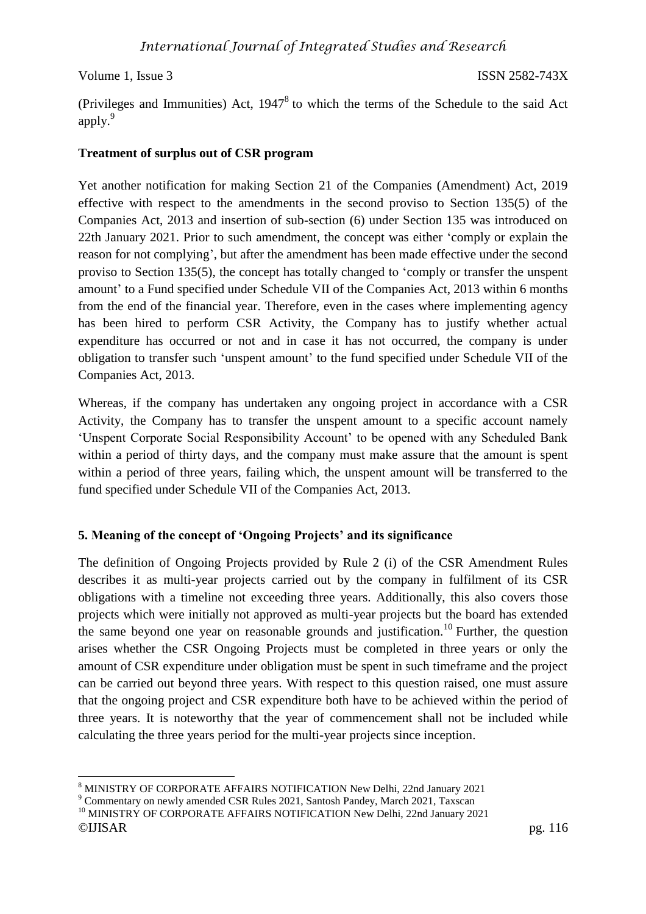(Privileges and Immunities) Act,  $1947<sup>8</sup>$  to which the terms of the Schedule to the said Act apply.<sup>9</sup>

### **Treatment of surplus out of CSR program**

Yet another notification for making Section 21 of the Companies (Amendment) Act, 2019 effective with respect to the amendments in the second proviso to Section 135(5) of the Companies Act, 2013 and insertion of sub-section (6) under Section 135 was introduced on 22th January 2021. Prior to such amendment, the concept was either 'comply or explain the reason for not complying', but after the amendment has been made effective under the second proviso to Section 135(5), the concept has totally changed to 'comply or transfer the unspent amount' to a Fund specified under Schedule VII of the Companies Act, 2013 within 6 months from the end of the financial year. Therefore, even in the cases where implementing agency has been hired to perform CSR Activity, the Company has to justify whether actual expenditure has occurred or not and in case it has not occurred, the company is under obligation to transfer such 'unspent amount' to the fund specified under Schedule VII of the Companies Act, 2013.

Whereas, if the company has undertaken any ongoing project in accordance with a CSR Activity, the Company has to transfer the unspent amount to a specific account namely 'Unspent Corporate Social Responsibility Account' to be opened with any Scheduled Bank within a period of thirty days, and the company must make assure that the amount is spent within a period of three years, failing which, the unspent amount will be transferred to the fund specified under Schedule VII of the Companies Act, 2013.

## **5. Meaning of the concept of 'Ongoing Projects' and its significance**

The definition of Ongoing Projects provided by Rule 2 (i) of the CSR Amendment Rules describes it as multi-year projects carried out by the company in fulfilment of its CSR obligations with a timeline not exceeding three years. Additionally, this also covers those projects which were initially not approved as multi-year projects but the board has extended the same beyond one year on reasonable grounds and justification.<sup>10</sup> Further, the question arises whether the CSR Ongoing Projects must be completed in three years or only the amount of CSR expenditure under obligation must be spent in such timeframe and the project can be carried out beyond three years. With respect to this question raised, one must assure that the ongoing project and CSR expenditure both have to be achieved within the period of three years. It is noteworthy that the year of commencement shall not be included while calculating the three years period for the multi-year projects since inception.

 $\overline{a}$ <sup>8</sup> MINISTRY OF CORPORATE AFFAIRS NOTIFICATION New Delhi, 22nd January 2021

<sup>9</sup> Commentary on newly amended CSR Rules 2021, Santosh Pandey, March 2021, Taxscan

<sup>&</sup>lt;sup>10</sup> MINISTRY OF CORPORATE AFFAIRS NOTIFICATION New Delhi, 22nd January 2021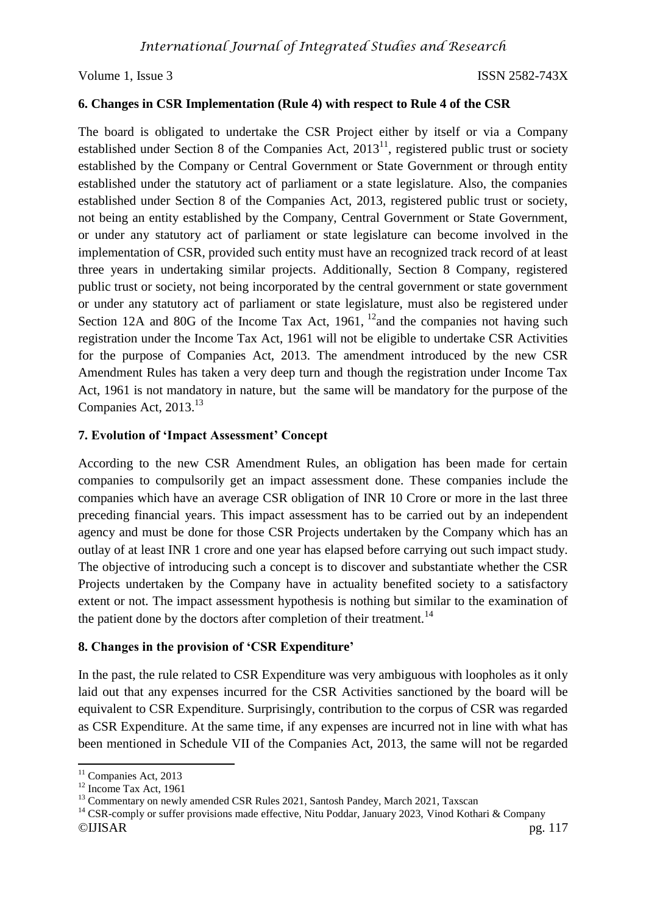#### **6. Changes in CSR Implementation (Rule 4) with respect to Rule 4 of the CSR**

The board is obligated to undertake the CSR Project either by itself or via a Company established under Section 8 of the Companies Act,  $2013<sup>11</sup>$ , registered public trust or society established by the Company or Central Government or State Government or through entity established under the statutory act of parliament or a state legislature. Also, the companies established under Section 8 of the Companies Act, 2013, registered public trust or society, not being an entity established by the Company, Central Government or State Government, or under any statutory act of parliament or state legislature can become involved in the implementation of CSR, provided such entity must have an recognized track record of at least three years in undertaking similar projects. Additionally, Section 8 Company, registered public trust or society, not being incorporated by the central government or state government or under any statutory act of parliament or state legislature, must also be registered under Section 12A and 80G of the Income Tax Act, 1961,  $^{12}$  and the companies not having such registration under the Income Tax Act, 1961 will not be eligible to undertake CSR Activities for the purpose of Companies Act, 2013. The amendment introduced by the new CSR Amendment Rules has taken a very deep turn and though the registration under Income Tax Act, 1961 is not mandatory in nature, but the same will be mandatory for the purpose of the Companies Act, 2013.<sup>13</sup>

#### **7. Evolution of 'Impact Assessment' Concept**

According to the new CSR Amendment Rules, an obligation has been made for certain companies to compulsorily get an impact assessment done. These companies include the companies which have an average CSR obligation of INR 10 Crore or more in the last three preceding financial years. This impact assessment has to be carried out by an independent agency and must be done for those CSR Projects undertaken by the Company which has an outlay of at least INR 1 crore and one year has elapsed before carrying out such impact study. The objective of introducing such a concept is to discover and substantiate whether the CSR Projects undertaken by the Company have in actuality benefited society to a satisfactory extent or not. The impact assessment hypothesis is nothing but similar to the examination of the patient done by the doctors after completion of their treatment.<sup>14</sup>

#### **8. Changes in the provision of 'CSR Expenditure'**

In the past, the rule related to CSR Expenditure was very ambiguous with loopholes as it only laid out that any expenses incurred for the CSR Activities sanctioned by the board will be equivalent to CSR Expenditure. Surprisingly, contribution to the corpus of CSR was regarded as CSR Expenditure. At the same time, if any expenses are incurred not in line with what has been mentioned in Schedule VII of the Companies Act, 2013, the same will not be regarded

 $\overline{\phantom{a}}$ <sup>11</sup> Companies Act, 2013

 $12$  Income Tax Act, 1961

<sup>&</sup>lt;sup>13</sup> Commentary on newly amended CSR Rules 2021, Santosh Pandey, March 2021, Taxscan

<sup>©</sup>IJISAR pg. 117 <sup>14</sup> CSR-comply or suffer provisions made effective, Nitu Poddar, January 2023, Vinod Kothari & Company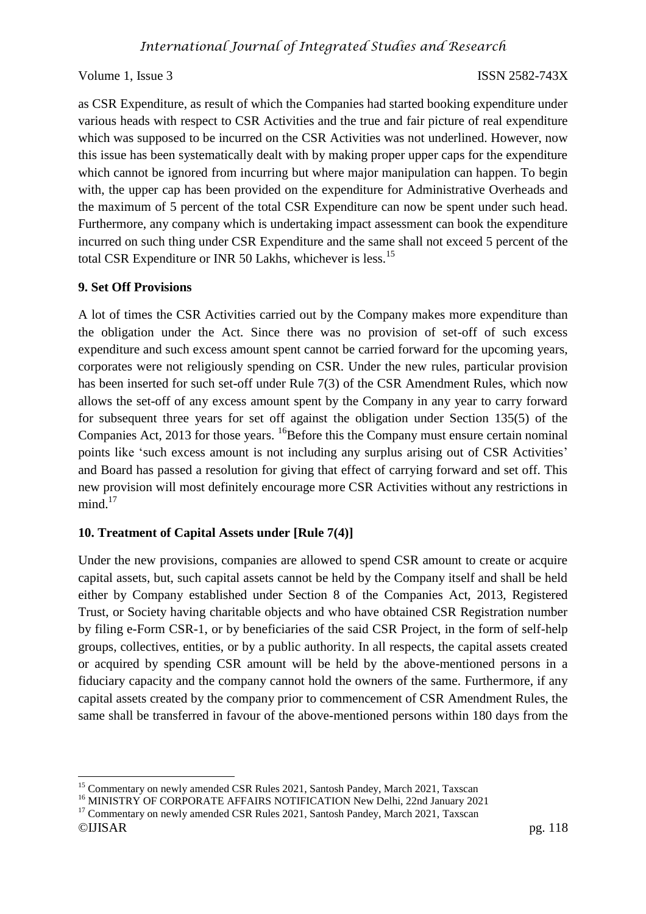as CSR Expenditure, as result of which the Companies had started booking expenditure under various heads with respect to CSR Activities and the true and fair picture of real expenditure which was supposed to be incurred on the CSR Activities was not underlined. However, now this issue has been systematically dealt with by making proper upper caps for the expenditure which cannot be ignored from incurring but where major manipulation can happen. To begin with, the upper cap has been provided on the expenditure for Administrative Overheads and the maximum of 5 percent of the total CSR Expenditure can now be spent under such head. Furthermore, any company which is undertaking impact assessment can book the expenditure incurred on such thing under CSR Expenditure and the same shall not exceed 5 percent of the total CSR Expenditure or INR 50 Lakhs, whichever is less.<sup>15</sup>

### **9. Set Off Provisions**

 $\overline{a}$ 

A lot of times the CSR Activities carried out by the Company makes more expenditure than the obligation under the Act. Since there was no provision of set-off of such excess expenditure and such excess amount spent cannot be carried forward for the upcoming years, corporates were not religiously spending on CSR. Under the new rules, particular provision has been inserted for such set-off under Rule 7(3) of the CSR Amendment Rules, which now allows the set-off of any excess amount spent by the Company in any year to carry forward for subsequent three years for set off against the obligation under Section 135(5) of the Companies Act, 2013 for those years. <sup>16</sup>Before this the Company must ensure certain nominal points like 'such excess amount is not including any surplus arising out of CSR Activities' and Board has passed a resolution for giving that effect of carrying forward and set off. This new provision will most definitely encourage more CSR Activities without any restrictions in  $mind.<sup>17</sup>$ 

#### **10. Treatment of Capital Assets under [Rule 7(4)]**

Under the new provisions, companies are allowed to spend CSR amount to create or acquire capital assets, but, such capital assets cannot be held by the Company itself and shall be held either by Company established under Section 8 of the Companies Act, 2013, Registered Trust, or Society having charitable objects and who have obtained CSR Registration number by filing e-Form CSR-1, or by beneficiaries of the said CSR Project, in the form of self-help groups, collectives, entities, or by a public authority. In all respects, the capital assets created or acquired by spending CSR amount will be held by the above-mentioned persons in a fiduciary capacity and the company cannot hold the owners of the same. Furthermore, if any capital assets created by the company prior to commencement of CSR Amendment Rules, the same shall be transferred in favour of the above-mentioned persons within 180 days from the

<sup>&</sup>lt;sup>15</sup> Commentary on newly amended CSR Rules 2021, Santosh Pandey, March 2021, Taxscan

<sup>&</sup>lt;sup>16</sup> MINISTRY OF CORPORATE AFFAIRS NOTIFICATION New Delhi, 22nd January 2021

<sup>©</sup>IJISAR pg. 118 <sup>17</sup> Commentary on newly amended CSR Rules 2021, Santosh Pandey, March 2021, Taxscan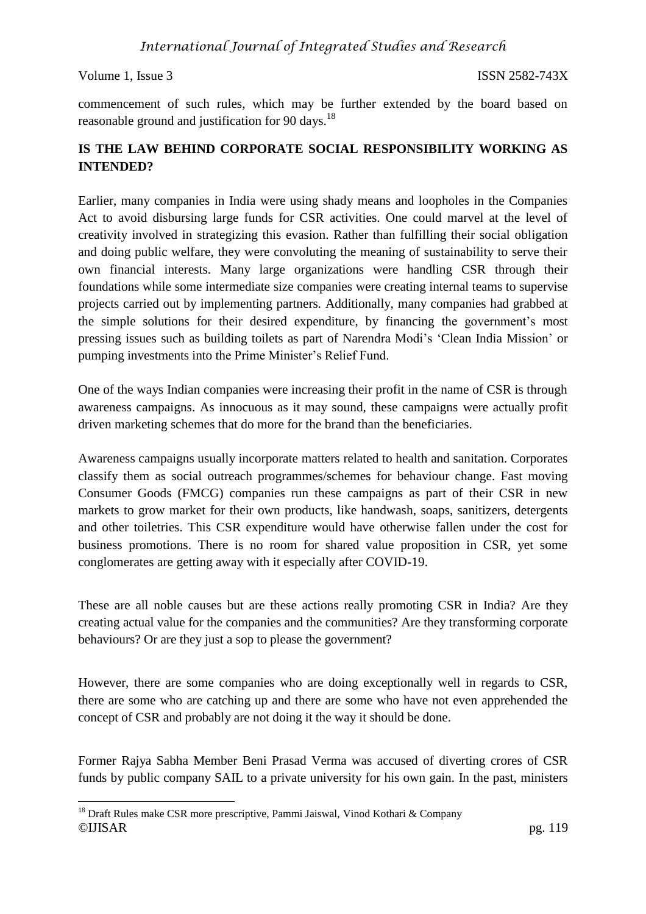$\overline{a}$ 

commencement of such rules, which may be further extended by the board based on reasonable ground and justification for 90 days.<sup>18</sup>

## **IS THE LAW BEHIND CORPORATE SOCIAL RESPONSIBILITY WORKING AS INTENDED?**

Earlier, many companies in India were using shady means and loopholes in the Companies Act to avoid disbursing large funds for CSR activities. One could marvel at the level of creativity involved in strategizing this evasion. Rather than fulfilling their social obligation and doing public welfare, they were convoluting the meaning of sustainability to serve their own financial interests. Many large organizations were handling CSR through their foundations while some intermediate size companies were creating internal teams to supervise projects carried out by implementing partners. Additionally, many companies had grabbed at the simple solutions for their desired expenditure, by financing the government's most pressing issues such as building toilets as part of Narendra Modi's 'Clean India Mission' or pumping investments into the Prime Minister's Relief Fund.

One of the ways Indian companies were increasing their profit in the name of CSR is through awareness campaigns. As innocuous as it may sound, these campaigns were actually profit driven marketing schemes that do more for the brand than the beneficiaries.

Awareness campaigns usually incorporate matters related to health and sanitation. Corporates classify them as social outreach programmes/schemes for behaviour change. Fast moving Consumer Goods (FMCG) companies run these campaigns as part of their CSR in new markets to grow market for their own products, like handwash, soaps, sanitizers, detergents and other toiletries. This CSR expenditure would have otherwise fallen under the cost for business promotions. There is no room for shared value proposition in CSR, yet some conglomerates are getting away with it especially after COVID-19.

These are all noble causes but are these actions really promoting CSR in India? Are they creating actual value for the companies and the communities? Are they transforming corporate behaviours? Or are they just a sop to please the government?

However, there are some companies who are doing exceptionally well in regards to CSR, there are some who are catching up and there are some who have not even apprehended the concept of CSR and probably are not doing it the way it should be done.

Former Rajya Sabha Member Beni Prasad Verma was accused of diverting crores of CSR funds by public company SAIL to a private university for his own gain. In the past, ministers

<sup>©</sup>IJISAR pg. 119  $18$  Draft Rules make CSR more prescriptive, Pammi Jaiswal, Vinod Kothari & Company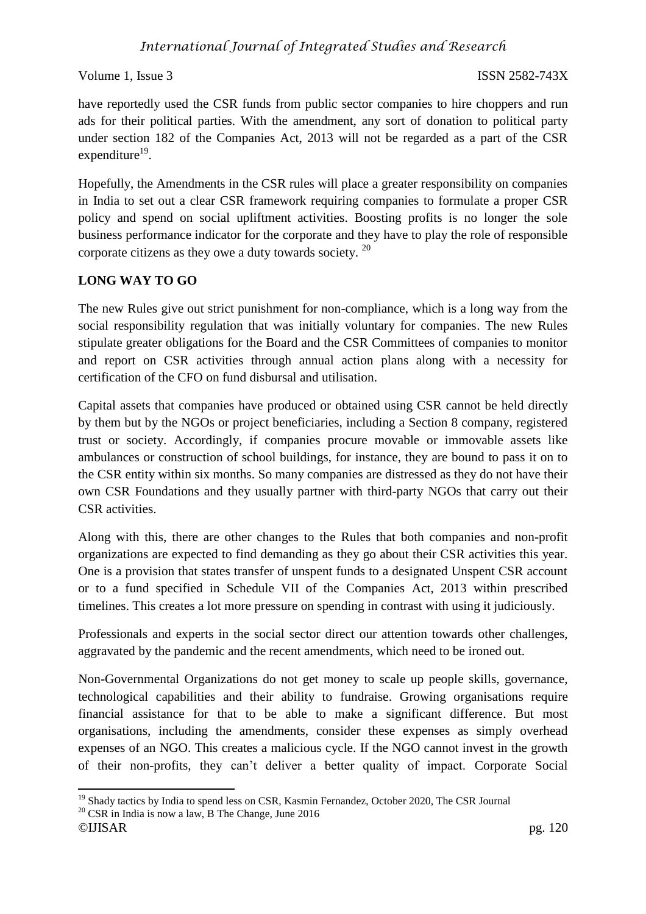have reportedly used the CSR funds from public sector companies to hire choppers and run ads for their political parties. With the amendment, any sort of donation to political party under section 182 of the Companies Act, 2013 will not be regarded as a part of the CSR expenditure<sup>19</sup>.

Hopefully, the Amendments in the CSR rules will place a greater responsibility on companies in India to set out a clear CSR framework requiring companies to formulate a proper CSR policy and spend on social upliftment activities. Boosting profits is no longer the sole business performance indicator for the corporate and they have to play the role of responsible corporate citizens as they owe a duty towards society.<sup>20</sup>

## **LONG WAY TO GO**

The new Rules give out strict punishment for non-compliance, which is a long way from the social responsibility regulation that was initially voluntary for companies. The new Rules stipulate greater obligations for the Board and the CSR Committees of companies to monitor and report on CSR activities through annual action plans along with a necessity for certification of the CFO on fund disbursal and utilisation.

Capital assets that companies have produced or obtained using CSR cannot be held directly by them but by the NGOs or project beneficiaries, including a Section 8 company, registered trust or society. Accordingly, if companies procure movable or immovable assets like ambulances or construction of school buildings, for instance, they are bound to pass it on to the CSR entity within six months. So many companies are distressed as they do not have their own CSR Foundations and they usually partner with third-party NGOs that carry out their CSR activities.

Along with this, there are other changes to the Rules that both companies and non-profit organizations are expected to find demanding as they go about their CSR activities this year. One is a provision that states transfer of unspent funds to a designated Unspent CSR account or to a fund specified in Schedule VII of the Companies Act, 2013 within prescribed timelines. This creates a lot more pressure on spending in contrast with using it judiciously.

Professionals and experts in the social sector direct our attention towards other challenges, aggravated by the pandemic and the recent amendments, which need to be ironed out.

Non-Governmental Organizations do not get money to scale up people skills, governance, technological capabilities and their ability to fundraise. Growing organisations require financial assistance for that to be able to make a significant difference. But most organisations, including the amendments, consider these expenses as simply overhead expenses of an NGO. This creates a malicious cycle. If the NGO cannot invest in the growth of their non-profits, they can't deliver a better quality of impact. Corporate Social

 $\overline{a}$ <sup>19</sup> Shady tactics by India to spend less on CSR, Kasmin Fernandez, October 2020, The CSR Journal

 $20$  CSR in India is now a law, B The Change, June 2016